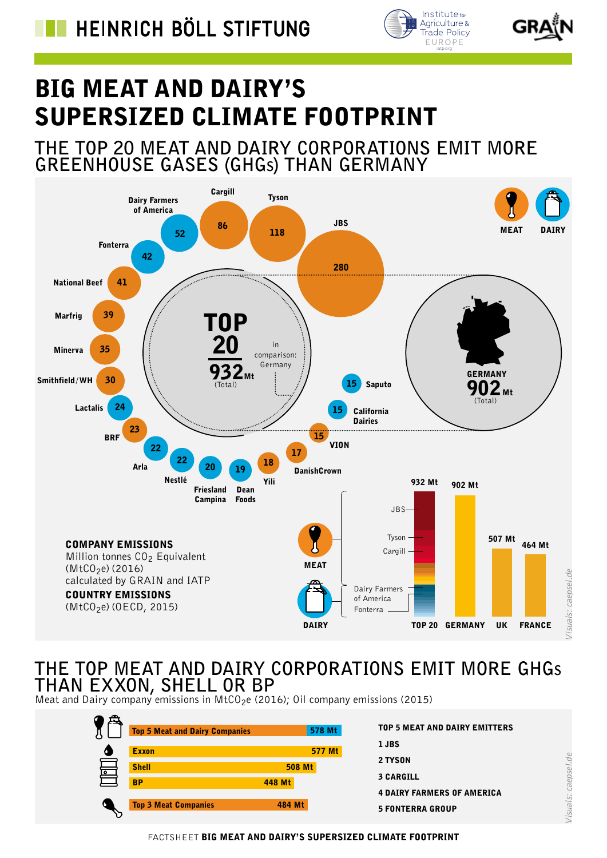



/isuals: caepsel.de

# BIG MEAT AND DAIRY'S SUPERSIZED CLIMATE FOOTPRINT

## **THE TOP 20 MEAT AND DAIRY CORPORATIONS EMIT MORE GREENHOUSE GASES (GHGs) THAN GERMANY**



## **THE TOP MEAT AND DAIRY CORPORATIONS EMIT MORE GHGs THAN EXXON, SHELL OR BP**

Meat and Dairy company emissions in  $MCO<sub>2</sub>e$  (2016); Oil company emissions (2015)

| <b>Top 5 Meat and Dairy Companies</b> | 578 Mt        | <b>TOP 5 MEAT AND DAIRY EMITTERS</b> |
|---------------------------------------|---------------|--------------------------------------|
| <b>Exxon</b>                          | 577 Mt        | 1 JBS                                |
| <b>Shell</b>                          | <b>508 Mt</b> | 2 TYSON                              |
| ०<br><b>BP</b>                        | 448 Mt        | <b>3 CARGILL</b>                     |
|                                       |               | <b>4 DAIRY FARMERS OF AMERICA</b>    |
| <b>Top 3 Meat Companies</b>           | 484 Mt        | <b>5 FONTERRA GROUP</b>              |

FACTSHEET BIG MEAT AND DAIRY'S SUPERSIZED CLIMATE FOOTPRINT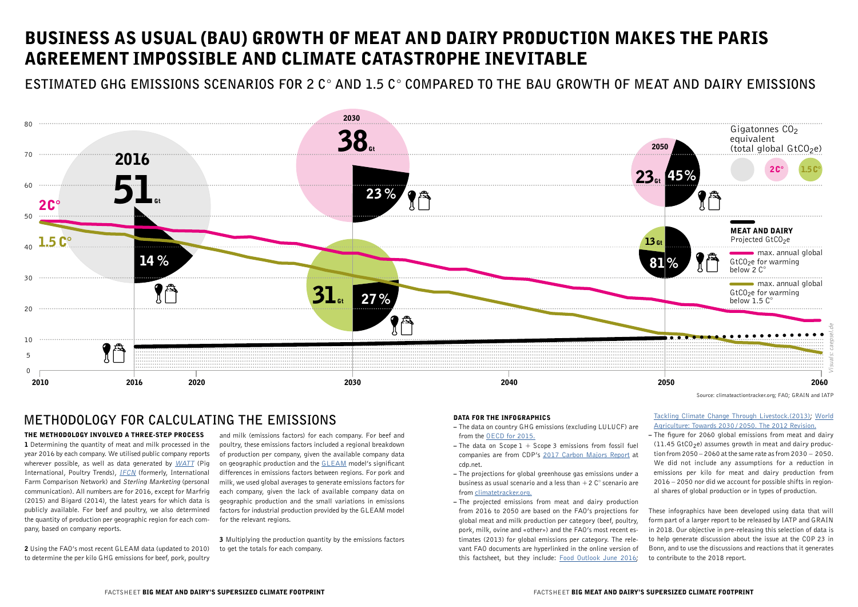### THE METHODOLOGY INVOLVED A THREE-STEP PROCESS

1 Determining the quantity of meat and milk processed in the year 2016 by each company. We utilised public company reports wherever possible, as well as data generated by [WATT](http://www.wattagnet.com) (Pig International, Poultry Trends), **[IFCN](http://ifcndairy.org)** (formerly, International Farm Comparison Network) and Sterling Marketing (personal communication). All numbers are for 2016, except for Marfrig (2015) and Bigard (2014), the latest years for which data is publicly available. For beef and poultry, we also determined the quantity of production per geographic region for each company, based on company reports.

2 Using the FAO's most recent GLEAM data (updated to 2010) to determine the per kilo GHG emissions for beef, pork, poultry

**3** Multiplying the production quantity by the emissions factors to get the totals for each company.

# BUSINESS AS USUAL (BAU) GROWTH OF MEAT AND DAIRY PRODUCTION MAKES THE PARIS AGREEMENT IMPOSSIBLE AND CLIMATE CATASTROPHE INEVITABLE

and milk (emissions factors) for each company. For beef and poultry, these emissions factors included a regional breakdown of production per company, given the available company data on geographic production and the [GLEAM](http://www.fao.org/gleam/en/) model's significant differences in emissions factors between regions. For pork and milk, we used global averages to generate emissions factors for each company, given the lack of available company data on geographic production and the small variations in emissions factors for industrial production provided by the GLEAM model for the relevant regions.

### DATA FOR THE INFOGRAPHICS

- The data on country GHG emissions (excluding LULUCF) are from the [OECD for 2015.](https://stats.oecd.org/Index.aspx?DataSetCode=AIR_GHG)
- $-$  The data on Scope 1 + Scope 3 emissions from fossil fuel companies are from CDP's [2017 Carbon Majors Report](https://b8f65cb373b1b7b15feb-c70d8ead6ced550b4d987d7c03fcdd1d.ssl.cf3.rackcdn.com/cms/reports/documents/000/002/327/original/Carbon-Majors-Report-2017.pdf) at cdp.net.
- The projections for global greenhouse gas emissions under a business as usual scenario and a less than  $+2$  C° scenario are from [climatetracker.org.](http://climateactiontracker.org/global.html)
- The projected emissions from meat and dairy production from 2016 to 2050 are based on the FAO's projections for global meat and milk production per category (beef, poultry, pork, milk, ovine and «other») and the FAO's most recent estimates (2013) for global emissions per category. The relevant FAO documents are hyperlinked in the online version of this factsheet, but they include: [Food Outlook June 2016](http://www.fao.org/3/a-i6198e.pdf);

### [Tackling Climate Change Through Livestock.\(2013\)](http://www.fao.org/docrep/018/i3437e/i3437e.pdf); [World](http://www.fao.org/3/a-ap106e.pdf)  [Agriculture: Towards 2030 /](http://www.fao.org/3/a-ap106e.pdf) 2050. The 2012 Revision.

– The figure for 2060 global emissions from meat and dairy  $(11.45 \text{ GtCO}_2)$  assumes growth in meat and dairy production from 2050 – 2060 at the same rate as from 2030 – 2050. We did not include any assumptions for a reduction in emissions per kilo for meat and dairy production from 2016 – 2050 nor did we account for possible shifts in regional shares of global production or in types of production.

These infographics have been developed using data that will form part of a larger report to be released by IATP and GRAIN in 2018. Our objective in pre-releasing this selection of data is to help generate discussion about the issue at the COP 23 in Bonn, and to use the discussions and reactions that it generates to contribute to the 2018 report.



**ESTIMATED GHG EMISSIONS SCENARIOS FOR 2 C° AND 1.5 C° COMPARED TO THE BAU GROWTH OF MEAT AND DAIRY EMISSIONS**

## **METHODOLOGY FOR CALCULATING THE EMISSIONS**

Source: climateactiontracker.org; FAO; GRAIN and IATP